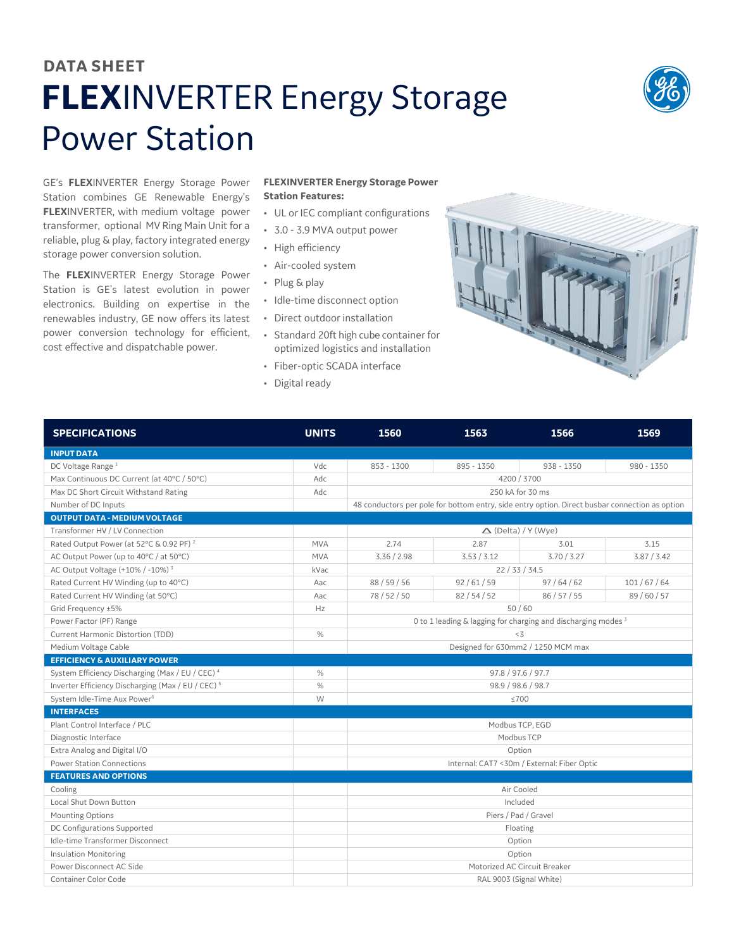## **DATA SHEET FLEX**INVERTER Energy Storage Power Station



GE's **FLEX**INVERTER Energy Storage Power Station combines GE Renewable Energy's **FLEX**INVERTER, with medium voltage power transformer, optional MV Ring Main Unit for a reliable, plug & play, factory integrated energy storage power conversion solution.

The **FLEX**INVERTER Energy Storage Power Station is GE's latest evolution in power electronics. Building on expertise in the renewables industry, GE now offers its latest power conversion technology for efficient, cost effective and dispatchable power.

## **FLEXINVERTER Energy Storage Power Station Features:**

- UL or IEC compliant configurations
- 3.0 3.9 MVA output power
- High efficiency
- Air-cooled system
- Plug & play
- Idle-time disconnect option
- Direct outdoor installation
- Standard 20ft high cube container for optimized logistics and installation
- Fiber-optic SCADA interface
- Digital ready



| <b>SPECIFICATIONS</b>                                         | <b>UNITS</b> | 1560                                                                                           | 1563        | 1566         | 1569         |  |  |
|---------------------------------------------------------------|--------------|------------------------------------------------------------------------------------------------|-------------|--------------|--------------|--|--|
| <b>INPUT DATA</b>                                             |              |                                                                                                |             |              |              |  |  |
| DC Voltage Range <sup>1</sup>                                 | Vdc          | 853 - 1300                                                                                     | 895 - 1350  | $938 - 1350$ | $980 - 1350$ |  |  |
| Max Continuous DC Current (at 40°C / 50°C)                    | Adc          |                                                                                                | 4200 / 3700 |              |              |  |  |
| Max DC Short Circuit Withstand Rating                         | Adc          | 250 kA for 30 ms                                                                               |             |              |              |  |  |
| Number of DC Inputs                                           |              | 48 conductors per pole for bottom entry, side entry option. Direct busbar connection as option |             |              |              |  |  |
| <b>OUTPUT DATA - MEDIUM VOLTAGE</b>                           |              |                                                                                                |             |              |              |  |  |
| Transformer HV / LV Connection                                |              | $\triangle$ (Delta) / Y (Wye)                                                                  |             |              |              |  |  |
| Rated Output Power (at 52°C & 0.92 PF) <sup>2</sup>           | <b>MVA</b>   | 2.74                                                                                           | 2.87        | 3.01         | 3.15         |  |  |
| AC Output Power (up to 40°C / at 50°C)                        | <b>MVA</b>   | 3.36 / 2.98                                                                                    | 3.53 / 3.12 | 3.70 / 3.27  | 3.87 / 3.42  |  |  |
| AC Output Voltage (+10% / -10%) <sup>3</sup>                  | kVac         | 22/33/34.5                                                                                     |             |              |              |  |  |
| Rated Current HV Winding (up to 40°C)                         | Aac          | 88 / 59 / 56                                                                                   | 92/61/59    | 97/64/62     | 101/67/64    |  |  |
| Rated Current HV Winding (at 50°C)                            | Aac          | 78/52/50                                                                                       | 82/54/52    | 86/57/55     | 89/60/57     |  |  |
| Grid Frequency ±5%                                            | Hz           | 50/60                                                                                          |             |              |              |  |  |
| Power Factor (PF) Range                                       |              | 0 to 1 leading & lagging for charging and discharging modes <sup>3</sup>                       |             |              |              |  |  |
| Current Harmonic Distortion (TDD)                             | %            | < 3                                                                                            |             |              |              |  |  |
| Medium Voltage Cable                                          |              | Designed for 630mm2 / 1250 MCM max                                                             |             |              |              |  |  |
| <b>EFFICIENCY &amp; AUXILIARY POWER</b>                       |              |                                                                                                |             |              |              |  |  |
| System Efficiency Discharging (Max / EU / CEC) 4              | %            | 97.8 / 97.6 / 97.7                                                                             |             |              |              |  |  |
| Inverter Efficiency Discharging (Max / EU / CEC) <sup>5</sup> | %            | 98.9 / 98.6 / 98.7                                                                             |             |              |              |  |  |
| System Idle-Time Aux Power <sup>6</sup>                       | W            | ≤700                                                                                           |             |              |              |  |  |
| <b>INTERFACES</b>                                             |              |                                                                                                |             |              |              |  |  |
| Plant Control Interface / PLC                                 |              | Modbus TCP, EGD                                                                                |             |              |              |  |  |
| Diagnostic Interface                                          |              | Modbus TCP                                                                                     |             |              |              |  |  |
| Extra Analog and Digital I/O                                  |              | Option                                                                                         |             |              |              |  |  |
| <b>Power Station Connections</b>                              |              | Internal: CAT7 <30m / External: Fiber Optic                                                    |             |              |              |  |  |
| <b>FEATURES AND OPTIONS</b>                                   |              |                                                                                                |             |              |              |  |  |
| Cooling                                                       |              | Air Cooled                                                                                     |             |              |              |  |  |
| Local Shut Down Button                                        |              | Included                                                                                       |             |              |              |  |  |
| <b>Mounting Options</b>                                       |              | Piers / Pad / Gravel                                                                           |             |              |              |  |  |
| DC Configurations Supported                                   |              | Floating                                                                                       |             |              |              |  |  |
| Idle-time Transformer Disconnect                              |              | Option                                                                                         |             |              |              |  |  |
| <b>Insulation Monitoring</b>                                  |              | Option                                                                                         |             |              |              |  |  |
| Power Disconnect AC Side                                      |              | Motorized AC Circuit Breaker                                                                   |             |              |              |  |  |
| <b>Container Color Code</b>                                   |              | RAL 9003 (Signal White)                                                                        |             |              |              |  |  |